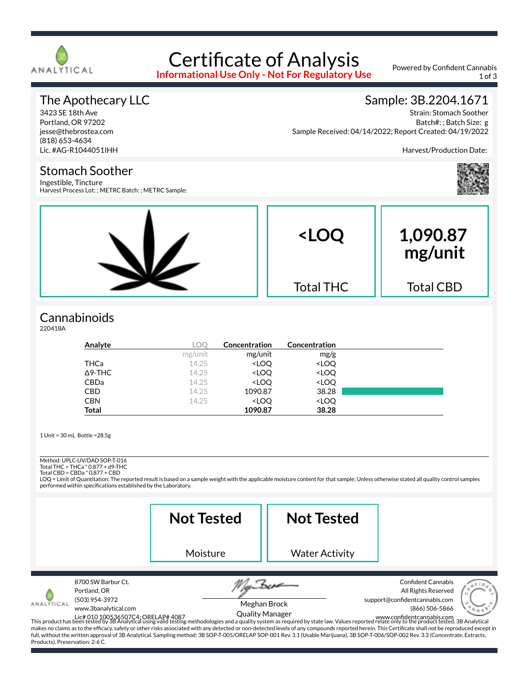

# Certificate of Analysis

**Informational Use Only - Not For Regulatory Use**

Powered by Confident Cannabis 1 of 3

#### The Apothecary LLC

3423 SE 18th Ave Portland, OR 97202 jesse@thebrostea.com (818) 653-4634 Lic. #AG-R1044051IHH

## Sample: 3B.2204.1671

Strain: Stomach Soother Batch#: ; Batch Size: g Sample Received: 04/14/2022; Report Created: 04/19/2022

Harvest/Production Date:



Stomach Soother Ingestible, Tincture

Harvest Process Lot: ; METRC Batch: ; METRC Sample:



## **Cannabinoids**

220418A

| Analyte        | LOO     | <b>Concentration</b>                                     | Concentration                |  |
|----------------|---------|----------------------------------------------------------|------------------------------|--|
|                | mg/unit | mg/unit                                                  | mg/g                         |  |
| THCa           | 14.25   | <loq< th=""><th><loq< th=""><th></th></loq<></th></loq<> | <loq< th=""><th></th></loq<> |  |
| $\Delta$ 9-THC | 14.25   | <loq< th=""><th><loq< th=""><th></th></loq<></th></loq<> | <loq< th=""><th></th></loq<> |  |
| <b>CBDa</b>    | 14.25   | <loo< th=""><th><loq< th=""><th></th></loq<></th></loo<> | <loq< th=""><th></th></loq<> |  |
| <b>CBD</b>     | 14.25   | 1090.87                                                  | 38.28                        |  |
| <b>CBN</b>     | 14.25   | <loo< th=""><th><loq< th=""><th></th></loq<></th></loo<> | <loq< th=""><th></th></loq<> |  |
| <b>Total</b>   |         | 1090.87                                                  | 38.28                        |  |

1 Unit = 30 mL Bottle =28.5g

Method: UPLC-UV/DAD SOP-T-016

Total THC = THCa \* 0.877 + d9-THC Total CBD = CBDa \* 0.877 + CBD

LOQ = Limit of Quantitation; The reported result is based on a sample weight with the applicable moisture content for that sample; Unless otherwise stated all quality control samples performed within specifications established by the Laboratory.

|                                                                                                                 | <b>Not Tested</b>                                                                                                                                                                                                                                                                                                                                                                                                                                                                                                                                                                                                               | <b>Not Tested</b>                      |                                                                                                     |
|-----------------------------------------------------------------------------------------------------------------|---------------------------------------------------------------------------------------------------------------------------------------------------------------------------------------------------------------------------------------------------------------------------------------------------------------------------------------------------------------------------------------------------------------------------------------------------------------------------------------------------------------------------------------------------------------------------------------------------------------------------------|----------------------------------------|-----------------------------------------------------------------------------------------------------|
|                                                                                                                 | Moisture                                                                                                                                                                                                                                                                                                                                                                                                                                                                                                                                                                                                                        | <b>Water Activity</b>                  |                                                                                                     |
| 8700 SW Barbur Ct.<br>Portland, OR<br>(503) 954-3972<br>www.3banalytical.com<br>Products). Preservation: 2-6 C. | Lic# 010 100536507C4; ORELAP# 4087 – – UUAIITY IYIAITIBET<br>This product has been tested by 3B Analytical using valid testing methodologies and a quality system as required by state law. Values reported relate only to the pr<br>makes no claims as to the efficacy, safety or other risks associated with any detected or non-detected levels of any compounds reported herein. This Certificate shall not be reproduced except in<br>full, without the written approval of 3B Analytical. Sampling method: 3B SOP-T-005/ORELAP SOP-001 Rev. 3.1 (Usable Marijuana), 3B SOP-T-006/SOP-002 Rev. 3.3 (Concentrate, Extracts, | Meghan Brock<br><b>Quality Manager</b> | <b>Confident Cannabis</b><br>All Rights Reserved<br>support@confidentcannabis.com<br>(866) 506-5866 |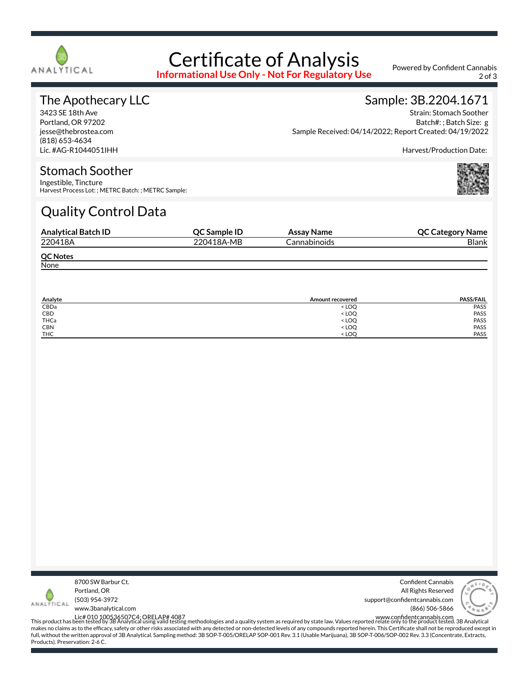

# Certificate of Analysis

**Informational Use Only - Not For Regulatory Use**

Powered by Confident Cannabis 2 of 3

#### The Apothecary LLC

3423 SE 18th Ave Portland, OR 97202 jesse@thebrostea.com (818) 653-4634 Lic. #AG-R1044051IHH

#### Sample: 3B.2204.1671

Strain: Stomach Soother Batch#: ; Batch Size: g Sample Received: 04/14/2022; Report Created: 04/19/2022

Harvest/Production Date:

#### Stomach Soother

Ingestible, Tincture Harvest Process Lot: ; METRC Batch: ; METRC Sample:

## Quality Control Data

| <b>Analytical Batch ID</b> | <b>OC Sample ID</b> | Assay Name   | <b>QC Category Name</b> |
|----------------------------|---------------------|--------------|-------------------------|
| 220418A                    | 220418A-MB          | Cannabinoids | Blank                   |
| <b>QC Notes</b>            |                     |              |                         |
| None                       |                     |              |                         |

| Analyte    | <b>Amount recovered</b>                 | <b>PASS/FAIL</b> |
|------------|-----------------------------------------|------------------|
| CBDa       | <loq< td=""><td>PASS</td></loq<>        | PASS             |
| CBD        | <loq< td=""><td>PASS</td></loq<>        | PASS             |
| THCa       | < LOQ                                   | <b>PASS</b>      |
| <b>CBN</b> | <loq< td=""><td><b>PASS</b></td></loq<> | <b>PASS</b>      |
| <b>THC</b> | $<$ LOO                                 | PASS             |



Confident Cannabis All Rights Reserved support@confidentcannabis.com (866) 506-5866



www.3banalytical.com

Lic# 010 100536507C4; ORELAP# 4087<br>This product has been tested by 3B Analytical using valid testing methodologies and a quality system as required by state law. Values reported relate only to the product tested. 3B Analyt makes no claims as to the efficacy, safety or other risks associated with any detected or non-detected levels of any compounds reported herein. This Certificate shall not be reproduced except in full, without the written approval of 3B Analytical. Sampling method: 3B SOP-T-005/ORELAP SOP-001 Rev. 3.1 (Usable Marijuana), 3B SOP-T-006/SOP-002 Rev. 3.3 (Concentrate, Extracts, Products). Preservation: 2-6 C.